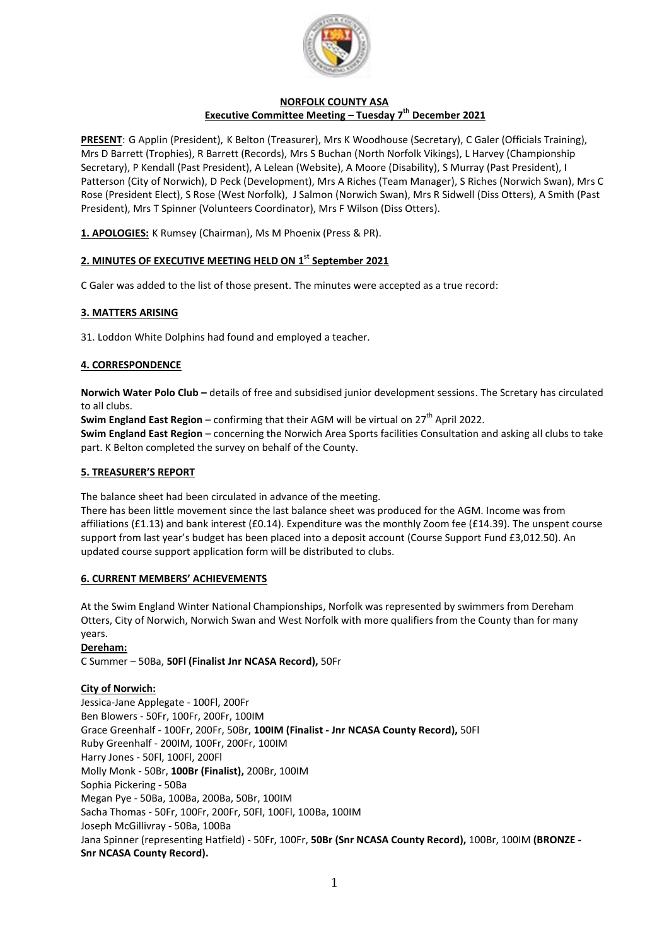

# **NORFOLK COUNTY ASA Executive Committee Meeting – Tuesday 7 th December 2021**

**PRESENT**: G Applin (President), K Belton (Treasurer), Mrs K Woodhouse (Secretary), C Galer (Officials Training), Mrs D Barrett (Trophies), R Barrett (Records), Mrs S Buchan (North Norfolk Vikings), L Harvey (Championship Secretary), P Kendall (Past President), A Lelean (Website), A Moore (Disability), S Murray (Past President), I Patterson (City of Norwich), D Peck (Development), Mrs A Riches (Team Manager), S Riches (Norwich Swan), Mrs C Rose (President Elect), S Rose (West Norfolk), J Salmon (Norwich Swan), Mrs R Sidwell (Diss Otters), A Smith (Past President), Mrs T Spinner (Volunteers Coordinator), Mrs F Wilson (Diss Otters).

**1. APOLOGIES:** K Rumsey (Chairman), Ms M Phoenix (Press & PR).

# **2. MINUTES OF EXECUTIVE MEETING HELD ON 1 st September 2021**

C Galer was added to the list of those present. The minutes were accepted as a true record:

## **3. MATTERS ARISING**

31. Loddon White Dolphins had found and employed a teacher.

## **4. CORRESPONDENCE**

**Norwich Water Polo Club –** details of free and subsidised junior development sessions. The Scretary has circulated to all clubs.

**Swim England East Region** – confirming that their AGM will be virtual on 27<sup>th</sup> April 2022.

**Swim England East Region** – concerning the Norwich Area Sports facilities Consultation and asking all clubs to take part. K Belton completed the survey on behalf of the County.

#### **5. TREASURER'S REPORT**

The balance sheet had been circulated in advance of the meeting.

There has been little movement since the last balance sheet was produced for the AGM. Income was from affiliations (£1.13) and bank interest (£0.14). Expenditure was the monthly Zoom fee (£14.39). The unspent course support from last year's budget has been placed into a deposit account (Course Support Fund £3,012.50). An updated course support application form will be distributed to clubs.

### **6. CURRENT MEMBERS' ACHIEVEMENTS**

At the Swim England Winter National Championships, Norfolk was represented by swimmers from Dereham Otters, City of Norwich, Norwich Swan and West Norfolk with more qualifiers from the County than for many years.

### **Dereham:**

C Summer – 50Ba, **50Fl (Finalist Jnr NCASA Record),** 50Fr

### **City of Norwich:**

Jessica-Jane Applegate - 100Fl, 200Fr Ben Blowers - 50Fr, 100Fr, 200Fr, 100IM Grace Greenhalf - 100Fr, 200Fr, 50Br, **100IM (Finalist - Jnr NCASA County Record),** 50Fl Ruby Greenhalf - 200IM, 100Fr, 200Fr, 100IM Harry Jones - 50Fl, 100Fl, 200Fl Molly Monk - 50Br, **100Br (Finalist),** 200Br, 100IM Sophia Pickering - 50Ba Megan Pye - 50Ba, 100Ba, 200Ba, 50Br, 100IM Sacha Thomas - 50Fr, 100Fr, 200Fr, 50Fl, 100Fl, 100Ba, 100IM Joseph McGillivray - 50Ba, 100Ba Jana Spinner (representing Hatfield) - 50Fr, 100Fr, **50Br (Snr NCASA County Record),** 100Br, 100IM **(BRONZE - Snr NCASA County Record).**